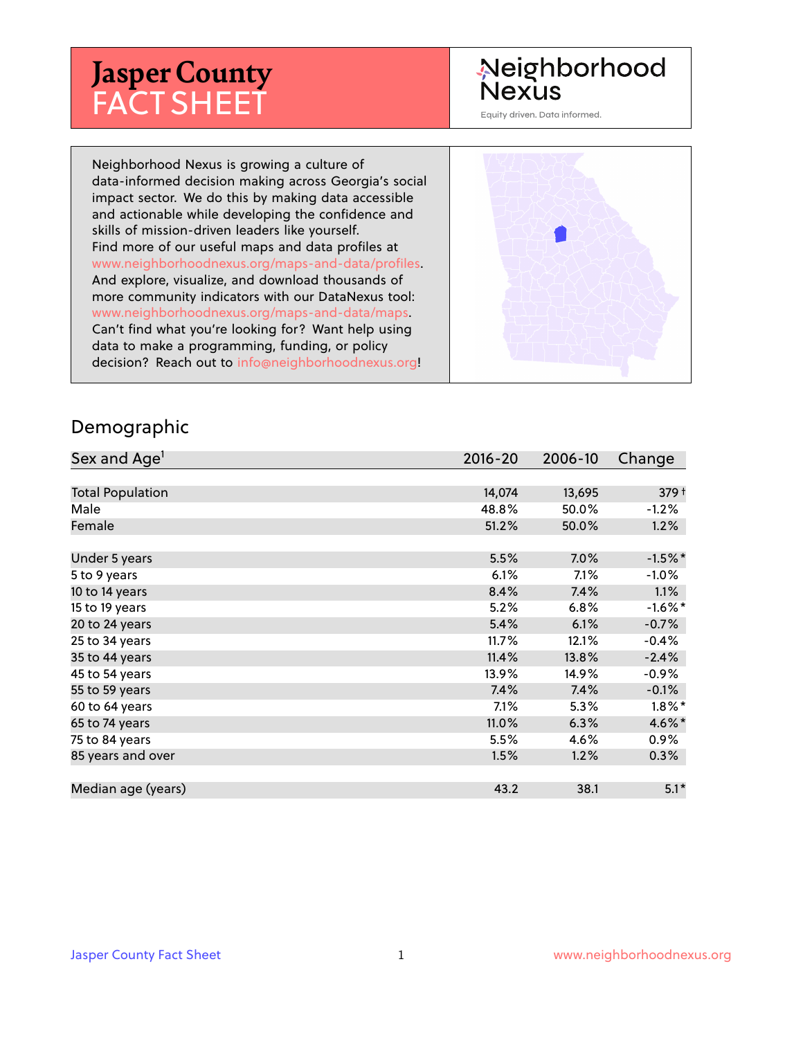# **Jasper County** FACT SHEET

# Neighborhood **Nexus**

Equity driven. Data informed.

Neighborhood Nexus is growing a culture of data-informed decision making across Georgia's social impact sector. We do this by making data accessible and actionable while developing the confidence and skills of mission-driven leaders like yourself. Find more of our useful maps and data profiles at www.neighborhoodnexus.org/maps-and-data/profiles. And explore, visualize, and download thousands of more community indicators with our DataNexus tool: www.neighborhoodnexus.org/maps-and-data/maps. Can't find what you're looking for? Want help using data to make a programming, funding, or policy decision? Reach out to [info@neighborhoodnexus.org!](mailto:info@neighborhoodnexus.org)



#### Demographic

| Sex and Age <sup>1</sup> | $2016 - 20$ | 2006-10 | Change           |
|--------------------------|-------------|---------|------------------|
|                          |             |         |                  |
| <b>Total Population</b>  | 14,074      | 13,695  | 379 <sup>†</sup> |
| Male                     | 48.8%       | 50.0%   | $-1.2%$          |
| Female                   | 51.2%       | 50.0%   | 1.2%             |
|                          |             |         |                  |
| Under 5 years            | 5.5%        | 7.0%    | $-1.5%$ *        |
| 5 to 9 years             | 6.1%        | 7.1%    | $-1.0\%$         |
| 10 to 14 years           | 8.4%        | 7.4%    | $1.1\%$          |
| 15 to 19 years           | 5.2%        | $6.8\%$ | $-1.6\%$ *       |
| 20 to 24 years           | 5.4%        | 6.1%    | $-0.7%$          |
| 25 to 34 years           | 11.7%       | 12.1%   | $-0.4%$          |
| 35 to 44 years           | 11.4%       | 13.8%   | $-2.4%$          |
| 45 to 54 years           | 13.9%       | 14.9%   | $-0.9\%$         |
| 55 to 59 years           | 7.4%        | 7.4%    | $-0.1%$          |
| 60 to 64 years           | 7.1%        | 5.3%    | $1.8\%$ *        |
| 65 to 74 years           | 11.0%       | 6.3%    | 4.6%*            |
| 75 to 84 years           | 5.5%        | 4.6%    | $0.9\%$          |
| 85 years and over        | 1.5%        | 1.2%    | $0.3\%$          |
|                          |             |         |                  |
| Median age (years)       | 43.2        | 38.1    | $5.1*$           |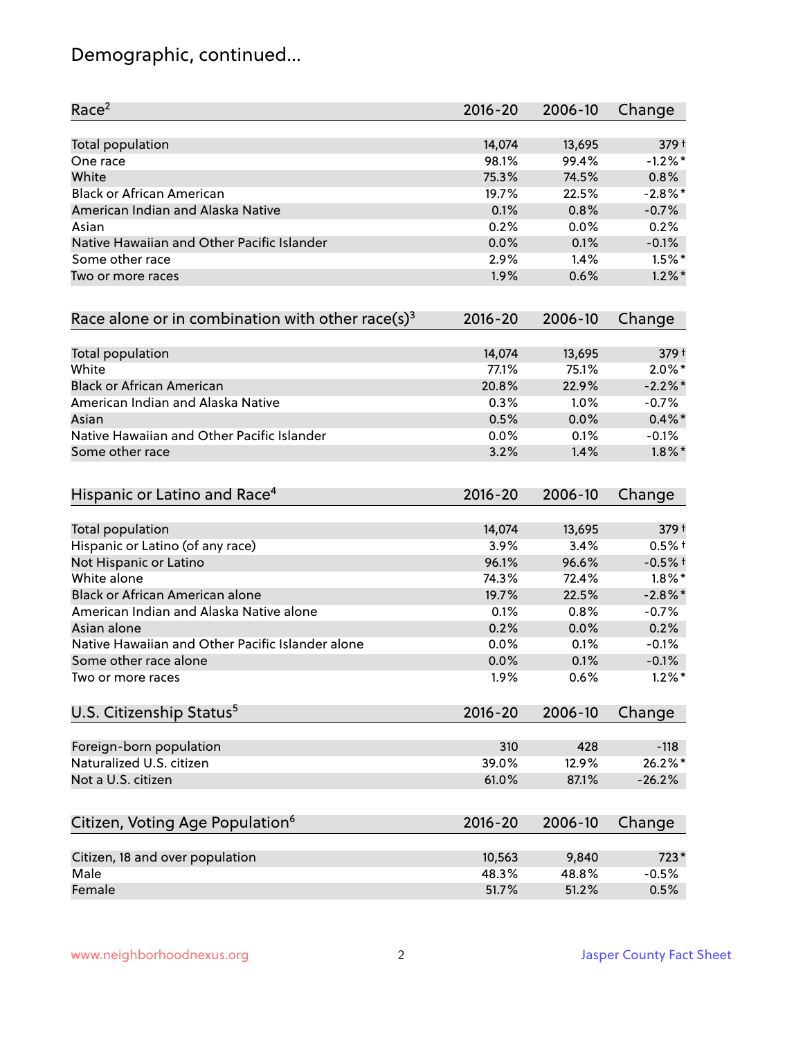# Demographic, continued...

| Race <sup>2</sup>                                   | $2016 - 20$ | 2006-10 | Change     |
|-----------------------------------------------------|-------------|---------|------------|
| <b>Total population</b>                             | 14,074      | 13,695  | 379 +      |
| One race                                            | 98.1%       | 99.4%   | $-1.2%$ *  |
| White                                               | 75.3%       | 74.5%   | 0.8%       |
| <b>Black or African American</b>                    | 19.7%       | 22.5%   | $-2.8%$ *  |
| American Indian and Alaska Native                   | 0.1%        | 0.8%    | $-0.7%$    |
| Asian                                               | 0.2%        | 0.0%    | 0.2%       |
| Native Hawaiian and Other Pacific Islander          | 0.0%        | 0.1%    | $-0.1%$    |
| Some other race                                     | 2.9%        | 1.4%    | $1.5\%$ *  |
| Two or more races                                   | 1.9%        | 0.6%    | $1.2\%$ *  |
| Race alone or in combination with other race(s) $3$ | $2016 - 20$ | 2006-10 | Change     |
| Total population                                    | 14,074      | 13,695  | 379 +      |
| White                                               | 77.1%       | 75.1%   | $2.0\%$ *  |
| <b>Black or African American</b>                    | 20.8%       | 22.9%   | $-2.2%$ *  |
| American Indian and Alaska Native                   | 0.3%        | 1.0%    | $-0.7%$    |
| Asian                                               | 0.5%        | 0.0%    | $0.4\%$ *  |
| Native Hawaiian and Other Pacific Islander          | 0.0%        | 0.1%    | $-0.1%$    |
| Some other race                                     | 3.2%        | 1.4%    | $1.8\%$ *  |
| Hispanic or Latino and Race <sup>4</sup>            | $2016 - 20$ | 2006-10 | Change     |
| <b>Total population</b>                             | 14,074      | 13,695  | 379 +      |
| Hispanic or Latino (of any race)                    | 3.9%        | 3.4%    | $0.5%$ †   |
| Not Hispanic or Latino                              | 96.1%       | 96.6%   | $-0.5%$ †  |
| White alone                                         | 74.3%       | 72.4%   | $1.8\%$ *  |
| Black or African American alone                     | 19.7%       | 22.5%   | $-2.8\%$ * |
| American Indian and Alaska Native alone             | 0.1%        | 0.8%    | $-0.7%$    |
| Asian alone                                         | 0.2%        | 0.0%    | 0.2%       |
| Native Hawaiian and Other Pacific Islander alone    | 0.0%        | 0.1%    | $-0.1%$    |
| Some other race alone                               | 0.0%        | 0.1%    | $-0.1%$    |
| Two or more races                                   | 1.9%        | 0.6%    | $1.2\%$ *  |
| U.S. Citizenship Status <sup>5</sup>                | $2016 - 20$ | 2006-10 | Change     |
| Foreign-born population                             | 310         | 428     | $-118$     |
| Naturalized U.S. citizen                            | 39.0%       | 12.9%   | 26.2%*     |
| Not a U.S. citizen                                  | 61.0%       | 87.1%   | $-26.2%$   |
| Citizen, Voting Age Population <sup>6</sup>         | $2016 - 20$ | 2006-10 | Change     |
|                                                     |             |         |            |
| Citizen, 18 and over population                     | 10,563      | 9,840   | $723*$     |
| Male                                                | 48.3%       | 48.8%   | $-0.5%$    |
| Female                                              | 51.7%       | 51.2%   | 0.5%       |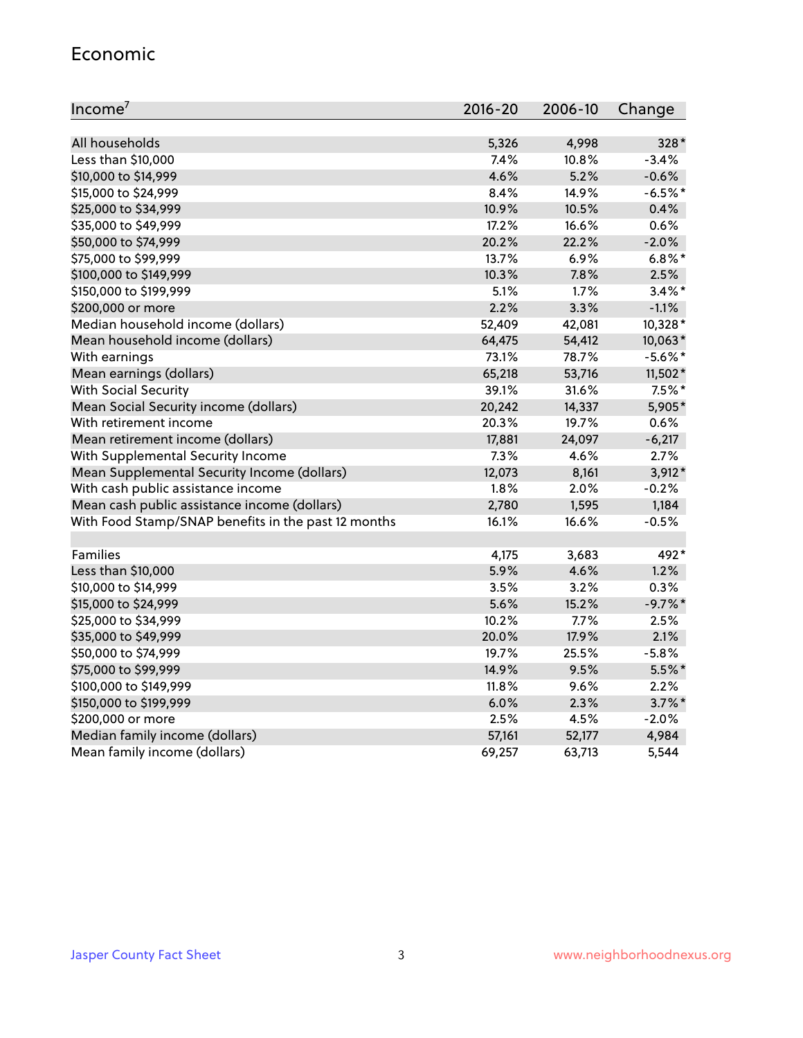#### Economic

| Income <sup>7</sup>                                 | $2016 - 20$ | 2006-10 | Change     |
|-----------------------------------------------------|-------------|---------|------------|
|                                                     |             |         |            |
| All households                                      | 5,326       | 4,998   | 328*       |
| Less than \$10,000                                  | 7.4%        | 10.8%   | $-3.4%$    |
| \$10,000 to \$14,999                                | 4.6%        | 5.2%    | $-0.6%$    |
| \$15,000 to \$24,999                                | 8.4%        | 14.9%   | $-6.5%$ *  |
| \$25,000 to \$34,999                                | 10.9%       | 10.5%   | 0.4%       |
| \$35,000 to \$49,999                                | 17.2%       | 16.6%   | 0.6%       |
| \$50,000 to \$74,999                                | 20.2%       | 22.2%   | $-2.0%$    |
| \$75,000 to \$99,999                                | 13.7%       | 6.9%    | $6.8\%$ *  |
| \$100,000 to \$149,999                              | 10.3%       | 7.8%    | 2.5%       |
| \$150,000 to \$199,999                              | 5.1%        | 1.7%    | $3.4\%$ *  |
| \$200,000 or more                                   | 2.2%        | 3.3%    | $-1.1%$    |
| Median household income (dollars)                   | 52,409      | 42,081  | 10,328*    |
| Mean household income (dollars)                     | 64,475      | 54,412  | 10,063*    |
| With earnings                                       | 73.1%       | 78.7%   | $-5.6\%$ * |
| Mean earnings (dollars)                             | 65,218      | 53,716  | 11,502*    |
| <b>With Social Security</b>                         | 39.1%       | 31.6%   | $7.5\%$ *  |
| Mean Social Security income (dollars)               | 20,242      | 14,337  | 5,905*     |
| With retirement income                              | 20.3%       | 19.7%   | 0.6%       |
| Mean retirement income (dollars)                    | 17,881      | 24,097  | $-6,217$   |
| With Supplemental Security Income                   | 7.3%        | 4.6%    | 2.7%       |
| Mean Supplemental Security Income (dollars)         | 12,073      | 8,161   | 3,912*     |
| With cash public assistance income                  | 1.8%        | 2.0%    | $-0.2%$    |
| Mean cash public assistance income (dollars)        | 2,780       | 1,595   | 1,184      |
| With Food Stamp/SNAP benefits in the past 12 months | 16.1%       | 16.6%   | $-0.5%$    |
|                                                     |             |         |            |
| Families                                            | 4,175       | 3,683   | 492*       |
| Less than \$10,000                                  | 5.9%        | 4.6%    | 1.2%       |
| \$10,000 to \$14,999                                | 3.5%        | 3.2%    | 0.3%       |
| \$15,000 to \$24,999                                | 5.6%        | 15.2%   | $-9.7%$ *  |
| \$25,000 to \$34,999                                | 10.2%       | 7.7%    | 2.5%       |
| \$35,000 to \$49,999                                | 20.0%       | 17.9%   | 2.1%       |
| \$50,000 to \$74,999                                | 19.7%       | 25.5%   | $-5.8%$    |
| \$75,000 to \$99,999                                | 14.9%       | 9.5%    | $5.5%$ *   |
| \$100,000 to \$149,999                              | 11.8%       | 9.6%    | 2.2%       |
| \$150,000 to \$199,999                              | 6.0%        | 2.3%    | $3.7\%$ *  |
| \$200,000 or more                                   | 2.5%        | 4.5%    | $-2.0%$    |
| Median family income (dollars)                      | 57,161      | 52,177  | 4,984      |
| Mean family income (dollars)                        | 69,257      | 63,713  | 5,544      |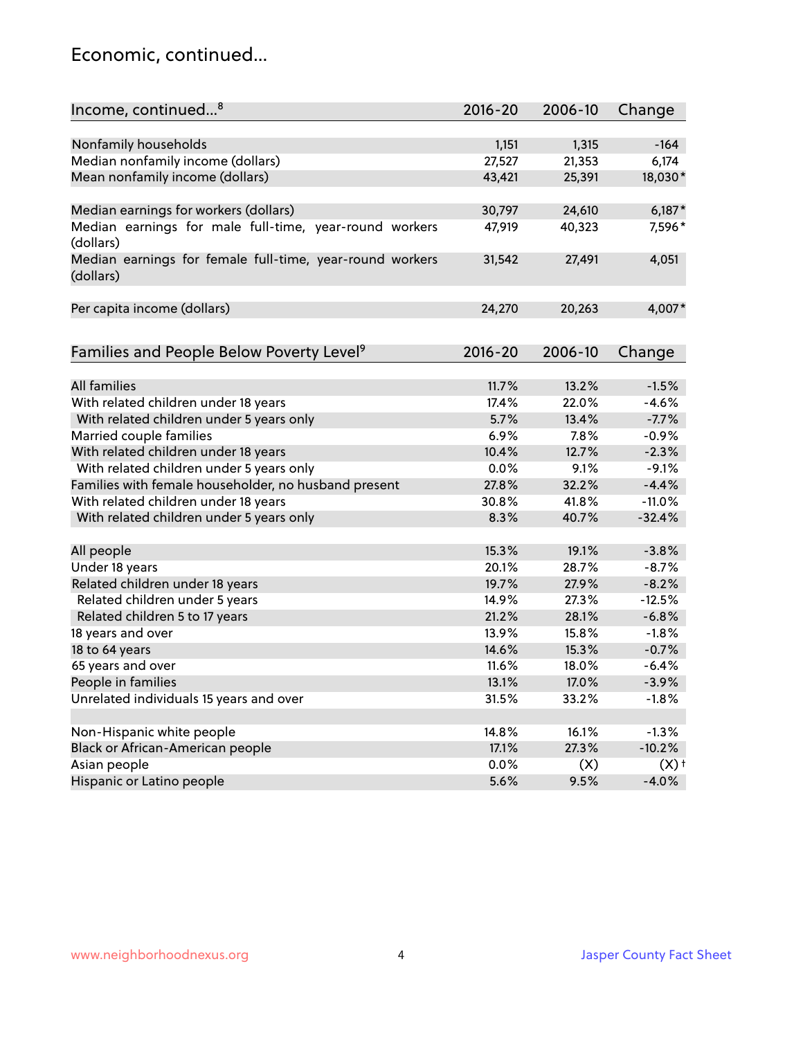### Economic, continued...

| Income, continued <sup>8</sup>                                        | $2016 - 20$ | 2006-10 | Change             |
|-----------------------------------------------------------------------|-------------|---------|--------------------|
|                                                                       |             |         |                    |
| Nonfamily households                                                  | 1,151       | 1,315   | $-164$             |
| Median nonfamily income (dollars)                                     | 27,527      | 21,353  | 6,174              |
| Mean nonfamily income (dollars)                                       | 43,421      | 25,391  | 18,030*            |
| Median earnings for workers (dollars)                                 | 30,797      | 24,610  | $6,187*$           |
| Median earnings for male full-time, year-round workers                | 47,919      | 40,323  | 7,596*             |
| (dollars)                                                             |             |         |                    |
| Median earnings for female full-time, year-round workers<br>(dollars) | 31,542      | 27,491  | 4,051              |
| Per capita income (dollars)                                           | 24,270      | 20,263  | 4,007*             |
|                                                                       |             |         |                    |
| Families and People Below Poverty Level <sup>9</sup>                  | 2016-20     | 2006-10 | Change             |
|                                                                       |             |         |                    |
| <b>All families</b>                                                   | 11.7%       | 13.2%   | $-1.5%$            |
| With related children under 18 years                                  | 17.4%       | 22.0%   | $-4.6%$            |
| With related children under 5 years only                              | 5.7%        | 13.4%   | $-7.7%$            |
| Married couple families                                               | 6.9%        | 7.8%    | $-0.9%$            |
| With related children under 18 years                                  | 10.4%       | 12.7%   | $-2.3%$            |
| With related children under 5 years only                              | 0.0%        | 9.1%    | $-9.1%$            |
| Families with female householder, no husband present                  | 27.8%       | 32.2%   | $-4.4%$            |
| With related children under 18 years                                  | 30.8%       | 41.8%   | $-11.0%$           |
| With related children under 5 years only                              | 8.3%        | 40.7%   | $-32.4%$           |
| All people                                                            | 15.3%       | 19.1%   | $-3.8%$            |
| Under 18 years                                                        | 20.1%       | 28.7%   | $-8.7%$            |
| Related children under 18 years                                       | 19.7%       | 27.9%   | $-8.2%$            |
| Related children under 5 years                                        | 14.9%       | 27.3%   | $-12.5%$           |
| Related children 5 to 17 years                                        | 21.2%       | 28.1%   | $-6.8%$            |
| 18 years and over                                                     | 13.9%       | 15.8%   | $-1.8%$            |
| 18 to 64 years                                                        | 14.6%       | 15.3%   | $-0.7%$            |
| 65 years and over                                                     | 11.6%       | 18.0%   | $-6.4%$            |
| People in families                                                    | 13.1%       | 17.0%   | $-3.9%$            |
| Unrelated individuals 15 years and over                               | 31.5%       | 33.2%   | $-1.8%$            |
|                                                                       |             |         |                    |
| Non-Hispanic white people                                             | 14.8%       | 16.1%   | $-1.3%$            |
| Black or African-American people                                      | 17.1%       | 27.3%   | $-10.2%$           |
| Asian people                                                          | 0.0%        | (X)     | $(X)$ <sup>+</sup> |
| Hispanic or Latino people                                             | 5.6%        | 9.5%    | $-4.0%$            |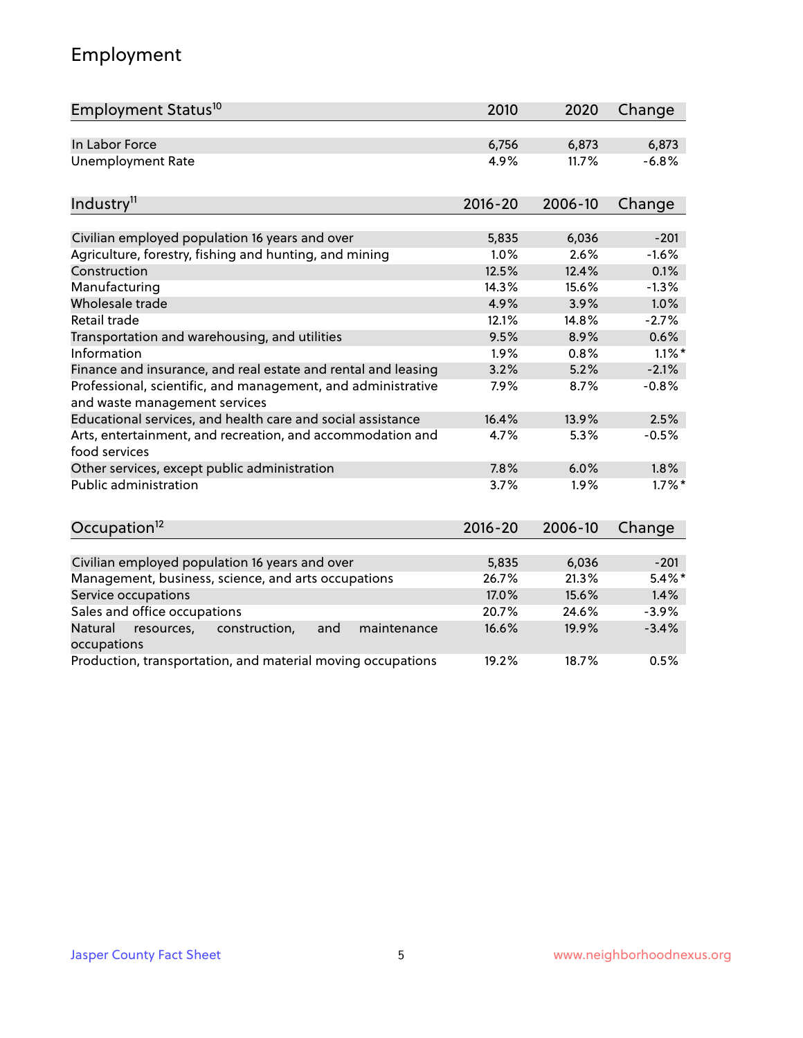# Employment

| Employment Status <sup>10</sup>                                                               | 2010        | 2020    | Change    |
|-----------------------------------------------------------------------------------------------|-------------|---------|-----------|
| In Labor Force                                                                                | 6,756       | 6,873   | 6,873     |
| <b>Unemployment Rate</b>                                                                      | 4.9%        | 11.7%   | $-6.8%$   |
| Industry <sup>11</sup>                                                                        | $2016 - 20$ | 2006-10 | Change    |
|                                                                                               |             |         |           |
| Civilian employed population 16 years and over                                                | 5,835       | 6,036   | $-201$    |
| Agriculture, forestry, fishing and hunting, and mining                                        | 1.0%        | 2.6%    | $-1.6%$   |
| Construction                                                                                  | 12.5%       | 12.4%   | 0.1%      |
| Manufacturing                                                                                 | 14.3%       | 15.6%   | $-1.3%$   |
| Wholesale trade                                                                               | 4.9%        | 3.9%    | 1.0%      |
| Retail trade                                                                                  | 12.1%       | 14.8%   | $-2.7%$   |
| Transportation and warehousing, and utilities                                                 | 9.5%        | 8.9%    | 0.6%      |
| Information                                                                                   | 1.9%        | 0.8%    | $1.1\%$ * |
| Finance and insurance, and real estate and rental and leasing                                 | 3.2%        | 5.2%    | $-2.1%$   |
| Professional, scientific, and management, and administrative<br>and waste management services | 7.9%        | 8.7%    | $-0.8%$   |
| Educational services, and health care and social assistance                                   | 16.4%       | 13.9%   | 2.5%      |
| Arts, entertainment, and recreation, and accommodation and<br>food services                   | 4.7%        | 5.3%    | $-0.5%$   |
| Other services, except public administration                                                  | 7.8%        | 6.0%    | 1.8%      |
| <b>Public administration</b>                                                                  | 3.7%        | 1.9%    | $1.7\%$ * |
| Occupation <sup>12</sup>                                                                      | $2016 - 20$ | 2006-10 | Change    |
|                                                                                               |             |         |           |
| Civilian employed population 16 years and over                                                | 5,835       | 6,036   | $-201$    |
| Management, business, science, and arts occupations                                           | 26.7%       | 21.3%   | $5.4\%$ * |
| Service occupations                                                                           | 17.0%       | 15.6%   | 1.4%      |
| Sales and office occupations                                                                  | 20.7%       | 24.6%   | $-3.9%$   |
| Natural<br>resources,<br>construction,<br>and<br>maintenance<br>occupations                   | 16.6%       | 19.9%   | $-3.4%$   |
| Production, transportation, and material moving occupations                                   | 19.2%       | 18.7%   | 0.5%      |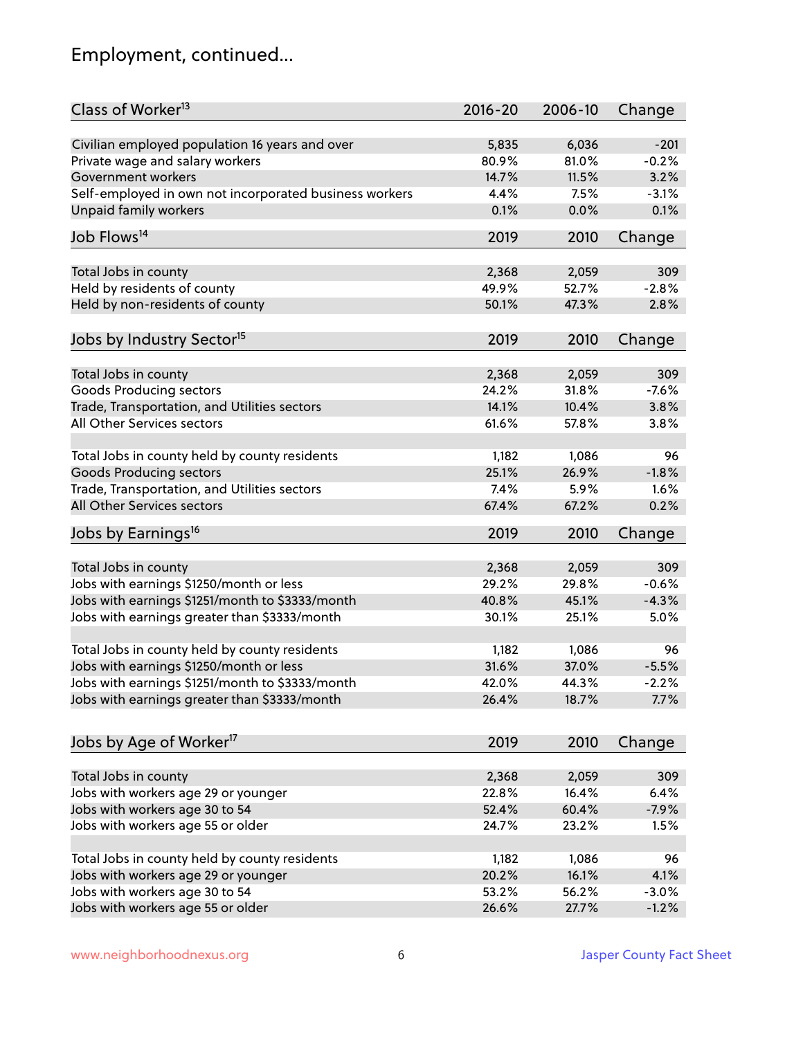# Employment, continued...

| Class of Worker <sup>13</sup>                               | $2016 - 20$    | 2006-10        | Change   |
|-------------------------------------------------------------|----------------|----------------|----------|
| Civilian employed population 16 years and over              | 5,835          | 6,036          | $-201$   |
| Private wage and salary workers                             | 80.9%          | 81.0%          | $-0.2%$  |
| Government workers                                          | 14.7%          | 11.5%          | 3.2%     |
| Self-employed in own not incorporated business workers      | 4.4%           | 7.5%           | $-3.1%$  |
| Unpaid family workers                                       | 0.1%           | 0.0%           | 0.1%     |
|                                                             |                |                |          |
| Job Flows <sup>14</sup>                                     | 2019           | 2010           | Change   |
| Total Jobs in county                                        | 2,368          | 2,059          | 309      |
| Held by residents of county                                 | 49.9%          | 52.7%          | $-2.8%$  |
| Held by non-residents of county                             | 50.1%          | 47.3%          | 2.8%     |
|                                                             |                |                |          |
| Jobs by Industry Sector <sup>15</sup>                       | 2019           | 2010           | Change   |
| Total Jobs in county                                        | 2,368          | 2,059          | 309      |
| Goods Producing sectors                                     | 24.2%          | 31.8%          | $-7.6%$  |
| Trade, Transportation, and Utilities sectors                | 14.1%          | 10.4%          | 3.8%     |
| All Other Services sectors                                  | 61.6%          | 57.8%          | 3.8%     |
|                                                             |                |                |          |
| Total Jobs in county held by county residents               | 1,182          | 1,086          | 96       |
| <b>Goods Producing sectors</b>                              | 25.1%          | 26.9%          | $-1.8%$  |
| Trade, Transportation, and Utilities sectors                | 7.4%           | 5.9%           | 1.6%     |
| All Other Services sectors                                  | 67.4%          | 67.2%          | 0.2%     |
| Jobs by Earnings <sup>16</sup>                              | 2019           | 2010           | Change   |
|                                                             |                |                |          |
| Total Jobs in county                                        | 2,368          | 2,059          | 309      |
| Jobs with earnings \$1250/month or less                     | 29.2%          | 29.8%          | $-0.6%$  |
| Jobs with earnings \$1251/month to \$3333/month             | 40.8%          | 45.1%          | $-4.3%$  |
| Jobs with earnings greater than \$3333/month                | 30.1%          | 25.1%          | 5.0%     |
| Total Jobs in county held by county residents               | 1,182          | 1,086          | 96       |
| Jobs with earnings \$1250/month or less                     | 31.6%          | 37.0%          | $-5.5%$  |
| Jobs with earnings \$1251/month to \$3333/month             | 42.0%          | 44.3%          | $-2.2\%$ |
| Jobs with earnings greater than \$3333/month                | 26.4%          | 18.7%          | 7.7%     |
|                                                             |                |                |          |
| Jobs by Age of Worker <sup>17</sup>                         | 2019           | 2010           | Change   |
|                                                             |                |                | 309      |
| Total Jobs in county<br>Jobs with workers age 29 or younger | 2,368<br>22.8% | 2,059<br>16.4% | 6.4%     |
| Jobs with workers age 30 to 54                              | 52.4%          | 60.4%          | $-7.9%$  |
| Jobs with workers age 55 or older                           | 24.7%          | 23.2%          | 1.5%     |
|                                                             |                |                |          |
| Total Jobs in county held by county residents               | 1,182          | 1,086          | 96       |
| Jobs with workers age 29 or younger                         | 20.2%          | 16.1%          | 4.1%     |
| Jobs with workers age 30 to 54                              | 53.2%          | 56.2%          | $-3.0%$  |
| Jobs with workers age 55 or older                           | 26.6%          | 27.7%          | $-1.2%$  |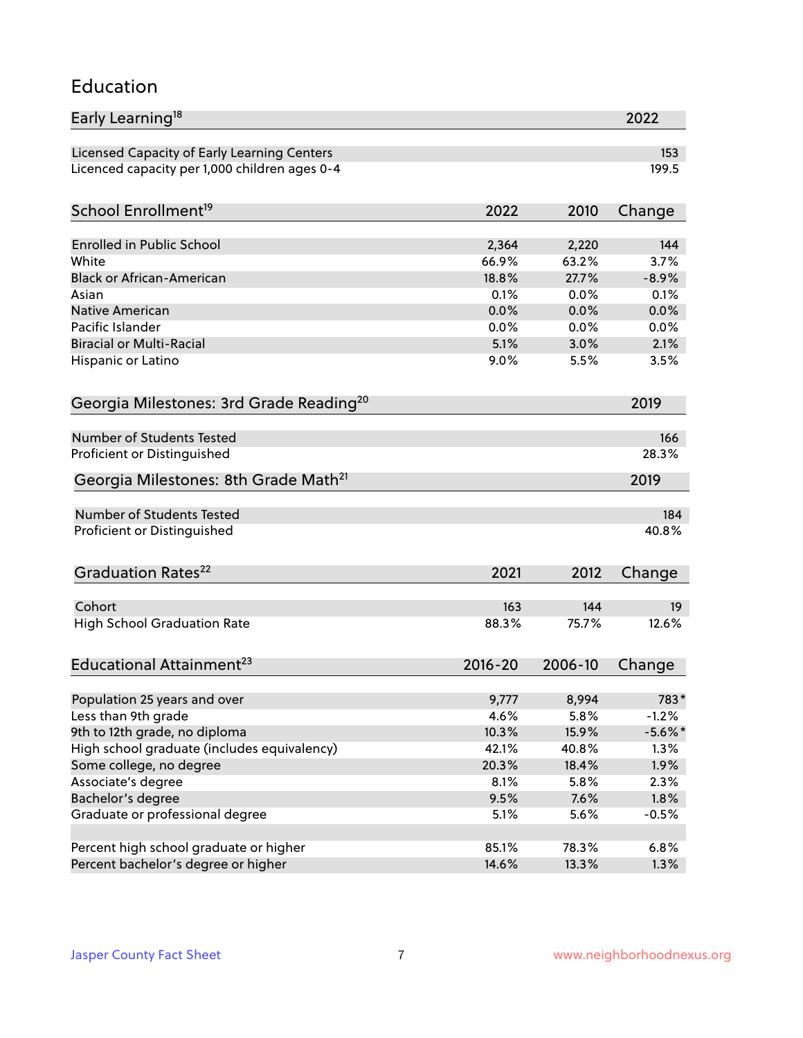### Education

| Early Learning <sup>18</sup>                        |                |                | 2022            |
|-----------------------------------------------------|----------------|----------------|-----------------|
| Licensed Capacity of Early Learning Centers         |                |                | 153             |
| Licenced capacity per 1,000 children ages 0-4       |                |                | 199.5           |
| School Enrollment <sup>19</sup>                     | 2022           | 2010           | Change          |
|                                                     |                |                |                 |
| <b>Enrolled in Public School</b>                    | 2,364          | 2,220          | 144             |
| White<br><b>Black or African-American</b>           | 66.9%<br>18.8% | 63.2%<br>27.7% | 3.7%<br>$-8.9%$ |
| Asian                                               | 0.1%           | 0.0%           | 0.1%            |
| <b>Native American</b>                              | 0.0%           | 0.0%           | 0.0%            |
| Pacific Islander                                    | 0.0%           | 0.0%           | 0.0%            |
| <b>Biracial or Multi-Racial</b>                     | 5.1%           | 3.0%           | 2.1%            |
| Hispanic or Latino                                  | 9.0%           | 5.5%           | 3.5%            |
| Georgia Milestones: 3rd Grade Reading <sup>20</sup> |                |                | 2019            |
|                                                     |                |                |                 |
| <b>Number of Students Tested</b>                    |                |                | 166             |
| Proficient or Distinguished                         |                |                | 28.3%           |
| Georgia Milestones: 8th Grade Math <sup>21</sup>    |                |                | 2019            |
| <b>Number of Students Tested</b>                    |                |                | 184             |
| Proficient or Distinguished                         |                |                | 40.8%           |
| Graduation Rates <sup>22</sup>                      | 2021           | 2012           | Change          |
|                                                     |                |                |                 |
| Cohort                                              | 163            | 144            | 19              |
| <b>High School Graduation Rate</b>                  | 88.3%          | 75.7%          | 12.6%           |
| Educational Attainment <sup>23</sup>                | $2016 - 20$    | 2006-10        | Change          |
|                                                     |                |                |                 |
| Population 25 years and over                        | 9,777          | 8,994          | 783*            |
| Less than 9th grade                                 | 4.6%           | 5.8%           | $-1.2%$         |
| 9th to 12th grade, no diploma                       | 10.3%          | 15.9%          | $-5.6\%$ *      |
| High school graduate (includes equivalency)         | 42.1%          | 40.8%          | 1.3%            |
| Some college, no degree                             | 20.3%          | 18.4%          | 1.9%            |
| Associate's degree                                  | 8.1%           | 5.8%           | 2.3%            |
| Bachelor's degree                                   | 9.5%           | 7.6%           | 1.8%            |
| Graduate or professional degree                     | 5.1%           | 5.6%           | $-0.5%$         |
| Percent high school graduate or higher              | 85.1%          | 78.3%          | 6.8%            |
| Percent bachelor's degree or higher                 | 14.6%          | 13.3%          | 1.3%            |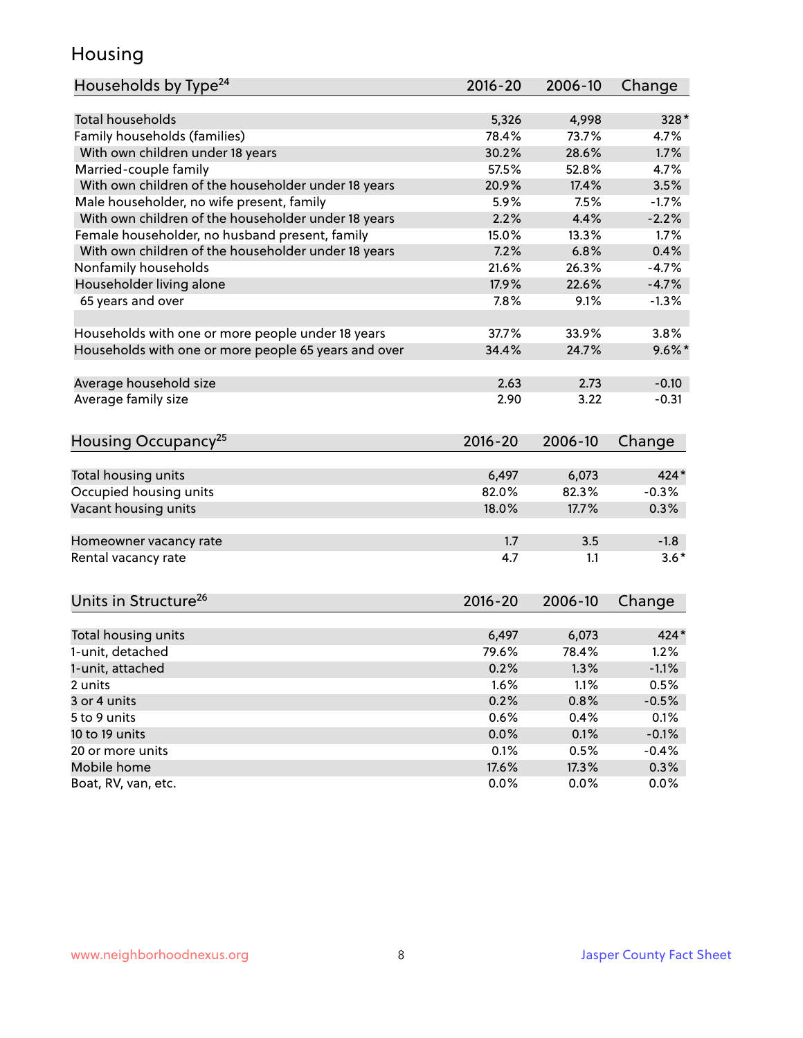### Housing

| Households by Type <sup>24</sup>                     | 2016-20     | 2006-10 | Change    |
|------------------------------------------------------|-------------|---------|-----------|
|                                                      |             |         |           |
| Total households                                     | 5,326       | 4,998   | 328*      |
| Family households (families)                         | 78.4%       | 73.7%   | 4.7%      |
| With own children under 18 years                     | 30.2%       | 28.6%   | 1.7%      |
| Married-couple family                                | 57.5%       | 52.8%   | 4.7%      |
| With own children of the householder under 18 years  | 20.9%       | 17.4%   | 3.5%      |
| Male householder, no wife present, family            | 5.9%        | 7.5%    | $-1.7%$   |
| With own children of the householder under 18 years  | 2.2%        | 4.4%    | $-2.2%$   |
| Female householder, no husband present, family       | 15.0%       | 13.3%   | 1.7%      |
| With own children of the householder under 18 years  | 7.2%        | 6.8%    | 0.4%      |
| Nonfamily households                                 | 21.6%       | 26.3%   | $-4.7%$   |
| Householder living alone                             | 17.9%       | 22.6%   | $-4.7%$   |
| 65 years and over                                    | 7.8%        | 9.1%    | $-1.3%$   |
|                                                      |             |         |           |
| Households with one or more people under 18 years    | 37.7%       | 33.9%   | 3.8%      |
| Households with one or more people 65 years and over | 34.4%       | 24.7%   | $9.6\%$ * |
|                                                      |             |         |           |
| Average household size                               | 2.63        | 2.73    | $-0.10$   |
| Average family size                                  | 2.90        | 3.22    | $-0.31$   |
|                                                      |             |         |           |
| Housing Occupancy <sup>25</sup>                      | 2016-20     | 2006-10 | Change    |
|                                                      |             |         |           |
| Total housing units                                  | 6,497       | 6,073   | 424*      |
| Occupied housing units                               | 82.0%       | 82.3%   | $-0.3%$   |
| Vacant housing units                                 | 18.0%       | 17.7%   | 0.3%      |
|                                                      |             |         |           |
| Homeowner vacancy rate                               | 1.7         | 3.5     | $-1.8$    |
| Rental vacancy rate                                  | 4.7         | 1.1     | $3.6*$    |
|                                                      |             |         |           |
| Units in Structure <sup>26</sup>                     | $2016 - 20$ | 2006-10 |           |
|                                                      |             |         | Change    |
| Total housing units                                  | 6,497       | 6,073   | $424*$    |
| 1-unit, detached                                     | 79.6%       | 78.4%   | 1.2%      |
| 1-unit, attached                                     | 0.2%        | 1.3%    | $-1.1%$   |
| 2 units                                              | 1.6%        | 1.1%    | 0.5%      |
| 3 or 4 units                                         | 0.2%        | 0.8%    | $-0.5%$   |
| 5 to 9 units                                         | 0.6%        | 0.4%    | 0.1%      |
| 10 to 19 units                                       |             |         |           |
|                                                      | 0.0%        | 0.1%    | $-0.1%$   |
| 20 or more units                                     | 0.1%        | 0.5%    | $-0.4%$   |
| Mobile home                                          | 17.6%       | 17.3%   | 0.3%      |
| Boat, RV, van, etc.                                  | 0.0%        | 0.0%    | 0.0%      |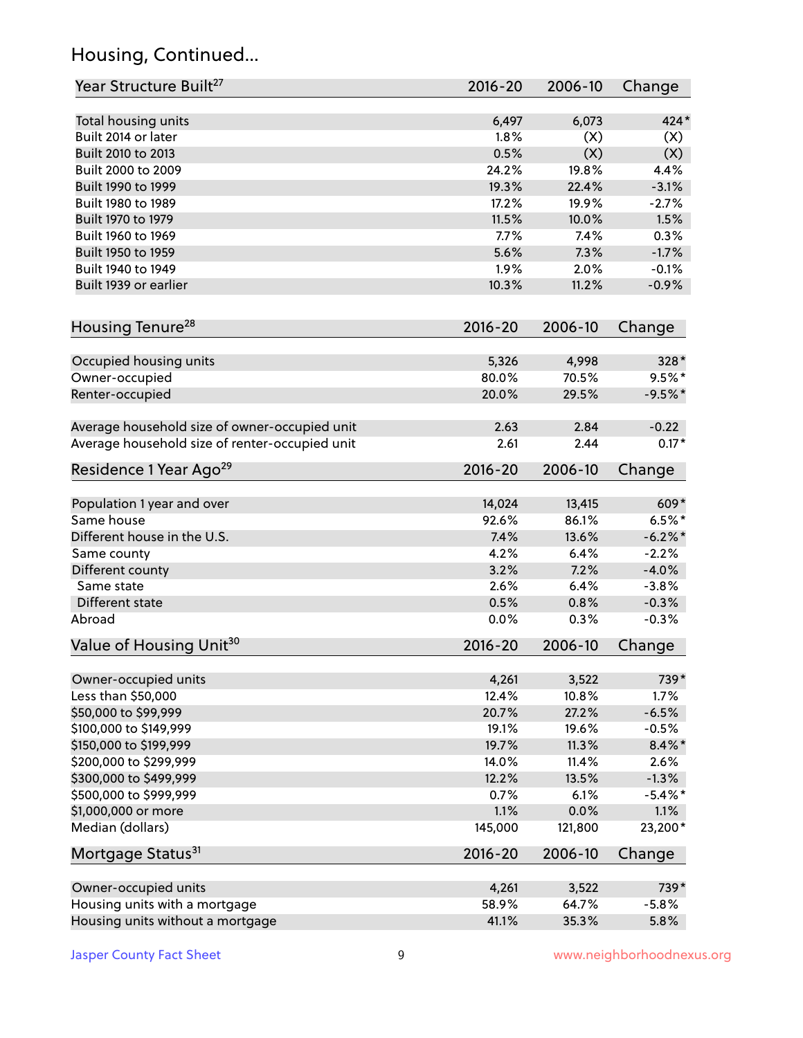# Housing, Continued...

| Year Structure Built <sup>27</sup>             | 2016-20     | 2006-10 | Change     |
|------------------------------------------------|-------------|---------|------------|
| Total housing units                            | 6,497       | 6,073   | $424*$     |
| Built 2014 or later                            | 1.8%        | (X)     | (X)        |
| Built 2010 to 2013                             | 0.5%        | (X)     | (X)        |
| Built 2000 to 2009                             | 24.2%       | 19.8%   | 4.4%       |
| Built 1990 to 1999                             | 19.3%       | 22.4%   | $-3.1%$    |
| Built 1980 to 1989                             | 17.2%       | 19.9%   | $-2.7%$    |
| Built 1970 to 1979                             | 11.5%       | 10.0%   | 1.5%       |
| Built 1960 to 1969                             | 7.7%        | 7.4%    | 0.3%       |
| Built 1950 to 1959                             | 5.6%        | 7.3%    | $-1.7%$    |
| Built 1940 to 1949                             | 1.9%        | 2.0%    | $-0.1%$    |
| Built 1939 or earlier                          | 10.3%       | 11.2%   | $-0.9%$    |
| Housing Tenure <sup>28</sup>                   | $2016 - 20$ | 2006-10 | Change     |
|                                                |             |         |            |
| Occupied housing units                         | 5,326       | 4,998   | 328*       |
| Owner-occupied                                 | 80.0%       | 70.5%   | $9.5%$ *   |
| Renter-occupied                                | 20.0%       | 29.5%   | $-9.5%$ *  |
| Average household size of owner-occupied unit  | 2.63        | 2.84    | $-0.22$    |
| Average household size of renter-occupied unit | 2.61        | 2.44    | $0.17*$    |
| Residence 1 Year Ago <sup>29</sup>             | $2016 - 20$ | 2006-10 | Change     |
| Population 1 year and over                     | 14,024      | 13,415  | 609*       |
| Same house                                     | 92.6%       | 86.1%   | $6.5%$ *   |
| Different house in the U.S.                    | 7.4%        | 13.6%   | $-6.2\%$ * |
| Same county                                    | 4.2%        | 6.4%    | $-2.2%$    |
| Different county                               | 3.2%        | 7.2%    | $-4.0%$    |
| Same state                                     | 2.6%        | 6.4%    | $-3.8%$    |
| Different state                                | 0.5%        | 0.8%    | $-0.3%$    |
| Abroad                                         | 0.0%        | 0.3%    | $-0.3%$    |
| Value of Housing Unit <sup>30</sup>            | 2016-20     | 2006-10 | Change     |
|                                                |             |         |            |
| Owner-occupied units                           | 4,261       | 3,522   | 739*       |
| Less than \$50,000                             | 12.4%       | 10.8%   | 1.7%       |
| \$50,000 to \$99,999                           | 20.7%       | 27.2%   | $-6.5%$    |
| \$100,000 to \$149,999                         | 19.1%       | 19.6%   | $-0.5%$    |
| \$150,000 to \$199,999                         | 19.7%       | 11.3%   | $8.4\%$ *  |
| \$200,000 to \$299,999                         | 14.0%       | 11.4%   | 2.6%       |
| \$300,000 to \$499,999                         | 12.2%       | 13.5%   | $-1.3%$    |
| \$500,000 to \$999,999                         | 0.7%        | 6.1%    | $-5.4\%$ * |
| \$1,000,000 or more                            | 1.1%        | 0.0%    | 1.1%       |
| Median (dollars)                               | 145,000     | 121,800 | 23,200*    |
| Mortgage Status <sup>31</sup>                  | $2016 - 20$ | 2006-10 | Change     |
| Owner-occupied units                           | 4,261       | 3,522   | 739*       |
| Housing units with a mortgage                  | 58.9%       | 64.7%   | $-5.8%$    |
| Housing units without a mortgage               | 41.1%       | 35.3%   | 5.8%       |
|                                                |             |         |            |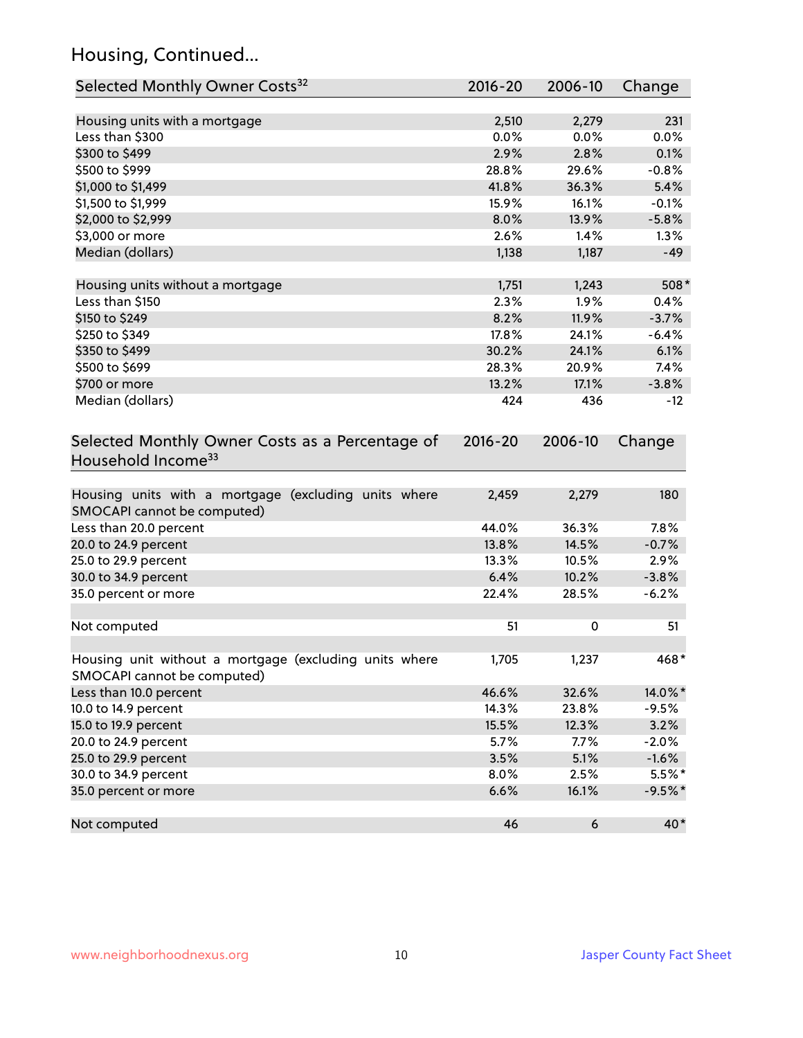# Housing, Continued...

| Selected Monthly Owner Costs <sup>32</sup>                                          | 2016-20       | 2006-10       | Change    |
|-------------------------------------------------------------------------------------|---------------|---------------|-----------|
|                                                                                     |               |               | 231       |
| Housing units with a mortgage<br>Less than \$300                                    | 2,510<br>0.0% | 2,279<br>0.0% | 0.0%      |
| \$300 to \$499                                                                      | 2.9%          | 2.8%          | 0.1%      |
| \$500 to \$999                                                                      | 28.8%         | 29.6%         | $-0.8%$   |
| \$1,000 to \$1,499                                                                  | 41.8%         | 36.3%         | 5.4%      |
| \$1,500 to \$1,999                                                                  | 15.9%         | 16.1%         | $-0.1%$   |
| \$2,000 to \$2,999                                                                  | 8.0%          | 13.9%         | $-5.8%$   |
| \$3,000 or more                                                                     | 2.6%          | 1.4%          | 1.3%      |
| Median (dollars)                                                                    |               |               | $-49$     |
|                                                                                     | 1,138         | 1,187         |           |
| Housing units without a mortgage                                                    | 1,751         | 1,243         | $508*$    |
| Less than \$150                                                                     | 2.3%          | 1.9%          | 0.4%      |
| \$150 to \$249                                                                      | 8.2%          | 11.9%         | $-3.7%$   |
| \$250 to \$349                                                                      | 17.8%         | 24.1%         | $-6.4%$   |
| \$350 to \$499                                                                      | 30.2%         | 24.1%         | 6.1%      |
| \$500 to \$699                                                                      | 28.3%         | 20.9%         | 7.4%      |
| \$700 or more                                                                       | 13.2%         | 17.1%         | $-3.8%$   |
| Median (dollars)                                                                    | 424           | 436           | $-12$     |
| Selected Monthly Owner Costs as a Percentage of<br>Household Income <sup>33</sup>   | $2016 - 20$   | 2006-10       | Change    |
| Housing units with a mortgage (excluding units where<br>SMOCAPI cannot be computed) | 2,459         | 2,279         | 180       |
| Less than 20.0 percent                                                              | 44.0%         | 36.3%         | 7.8%      |
| 20.0 to 24.9 percent                                                                | 13.8%         | 14.5%         | $-0.7%$   |
| 25.0 to 29.9 percent                                                                | 13.3%         | 10.5%         | 2.9%      |
| 30.0 to 34.9 percent                                                                | 6.4%          | 10.2%         | $-3.8%$   |
| 35.0 percent or more                                                                | 22.4%         | 28.5%         | $-6.2%$   |
| Not computed                                                                        | 51            | 0             | 51        |
| Housing unit without a mortgage (excluding units where                              | 1,705         | 1,237         | $468*$    |
| SMOCAPI cannot be computed)                                                         |               |               |           |
| Less than 10.0 percent                                                              | 46.6%         | 32.6%         | 14.0%*    |
| 10.0 to 14.9 percent                                                                | 14.3%         | 23.8%         | $-9.5%$   |
| 15.0 to 19.9 percent                                                                | 15.5%         | 12.3%         | 3.2%      |
| 20.0 to 24.9 percent                                                                | 5.7%          | 7.7%          | $-2.0%$   |
| 25.0 to 29.9 percent                                                                | 3.5%          | 5.1%          | $-1.6%$   |
| 30.0 to 34.9 percent                                                                | 8.0%          | 2.5%          | $5.5\%$ * |
| 35.0 percent or more                                                                | 6.6%          | 16.1%         | $-9.5%$ * |
| Not computed                                                                        | 46            | 6             | 40*       |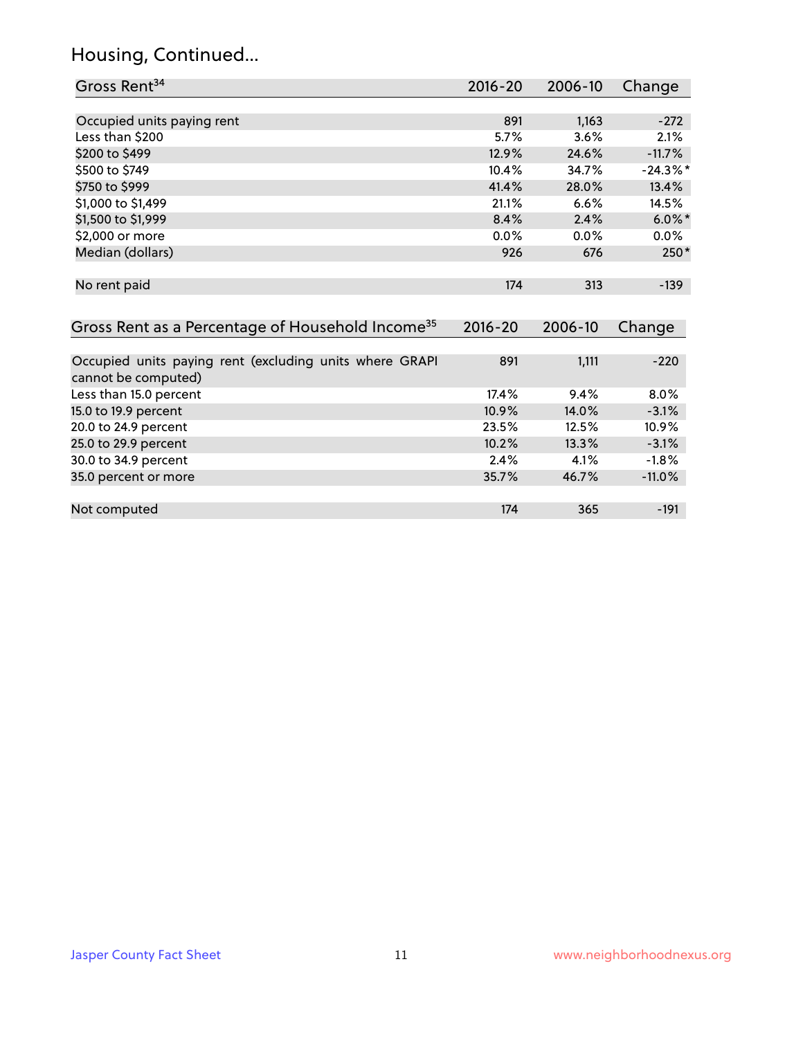# Housing, Continued...

| Gross Rent <sup>34</sup>                                                       | 2016-20     | 2006-10 | Change      |
|--------------------------------------------------------------------------------|-------------|---------|-------------|
|                                                                                |             |         |             |
| Occupied units paying rent                                                     | 891         | 1,163   | $-272$      |
| Less than \$200                                                                | 5.7%        | 3.6%    | 2.1%        |
| \$200 to \$499                                                                 | 12.9%       | 24.6%   | $-11.7%$    |
| \$500 to \$749                                                                 | 10.4%       | 34.7%   | $-24.3\%$ * |
| \$750 to \$999                                                                 | 41.4%       | 28.0%   | 13.4%       |
| \$1,000 to \$1,499                                                             | 21.1%       | 6.6%    | 14.5%       |
| \$1,500 to \$1,999                                                             | 8.4%        | 2.4%    | $6.0\%$ *   |
| \$2,000 or more                                                                | 0.0%        | 0.0%    | $0.0\%$     |
| Median (dollars)                                                               | 926         | 676     | $250*$      |
| No rent paid                                                                   | 174         | 313     | $-139$      |
| Gross Rent as a Percentage of Household Income <sup>35</sup>                   | $2016 - 20$ | 2006-10 | Change      |
| Occupied units paying rent (excluding units where GRAPI<br>cannot be computed) | 891         | 1,111   | $-220$      |
| Less than 15.0 percent                                                         | 17.4%       | 9.4%    | 8.0%        |
| 15.0 to 19.9 percent                                                           | 10.9%       | 14.0%   | $-3.1%$     |
| 20.0 to 24.9 percent                                                           | 23.5%       | 12.5%   | 10.9%       |
| 25.0 to 29.9 percent                                                           | 10.2%       | 13.3%   | $-3.1%$     |
| 30.0 to 34.9 percent                                                           | 2.4%        | 4.1%    | $-1.8%$     |
| 35.0 percent or more                                                           | 35.7%       | 46.7%   | $-11.0%$    |
| Not computed                                                                   | 174         | 365     | $-191$      |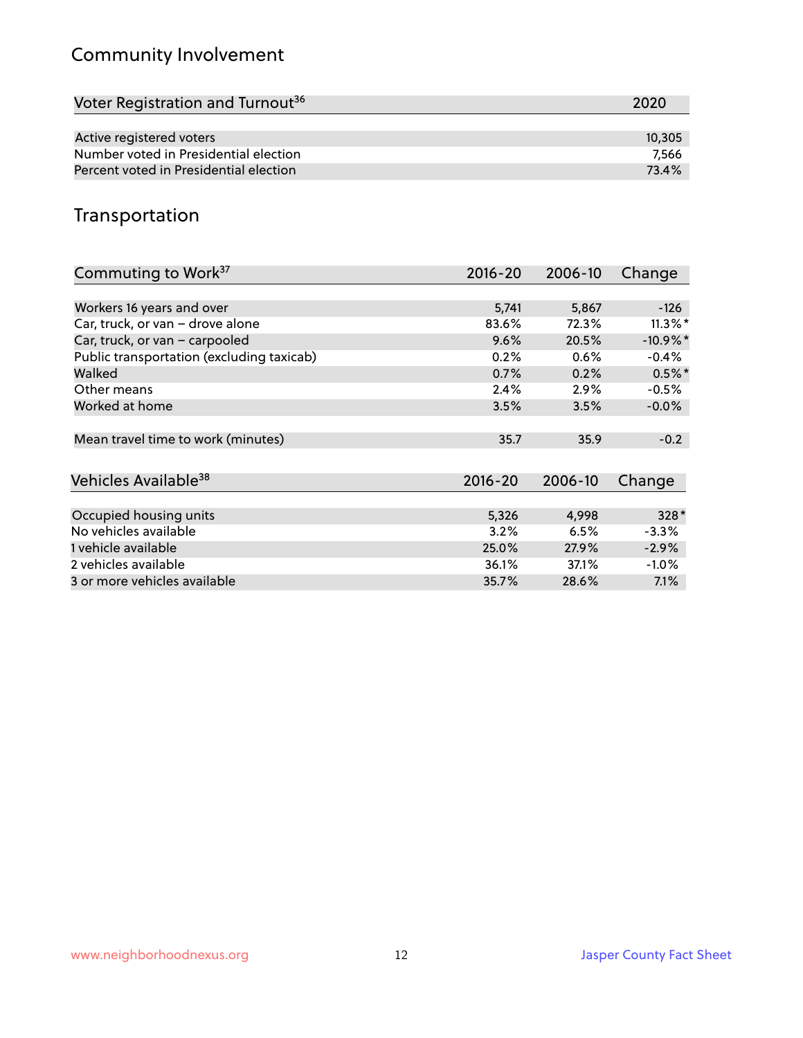# Community Involvement

| Voter Registration and Turnout <sup>36</sup> | 2020   |
|----------------------------------------------|--------|
|                                              |        |
| Active registered voters                     | 10,305 |
| Number voted in Presidential election        | 7.566  |
| Percent voted in Presidential election       | 73.4%  |

# Transportation

| Commuting to Work <sup>37</sup>           | $2016 - 20$ | 2006-10 | Change     |
|-------------------------------------------|-------------|---------|------------|
|                                           |             |         |            |
| Workers 16 years and over                 | 5,741       | 5,867   | -126       |
| Car, truck, or van - drove alone          | 83.6%       | 72.3%   | $11.3\%$ * |
| Car, truck, or van - carpooled            | 9.6%        | 20.5%   | $-10.9%$ * |
| Public transportation (excluding taxicab) | 0.2%        | 0.6%    | $-0.4%$    |
| Walked                                    | 0.7%        | 0.2%    | $0.5%$ *   |
| Other means                               | 2.4%        | $2.9\%$ | $-0.5%$    |
| Worked at home                            | 3.5%        | 3.5%    | $-0.0%$    |
|                                           |             |         |            |
| Mean travel time to work (minutes)        | 35.7        | 35.9    | $-0.2$     |
|                                           |             |         |            |
| Vehicles Available <sup>38</sup>          | $2016 - 20$ | 2006-10 | Change     |
|                                           |             |         |            |
| Occupied housing units                    | 5,326       | 4,998   | $328*$     |
| No vehicles available                     | 3.2%        | 6.5%    | $-3.3%$    |
| 1 vehicle available                       | 25.0%       | 27.9%   | $-2.9%$    |
| 2 vehicles available                      | 36.1%       | 37.1%   | $-1.0%$    |
| 3 or more vehicles available              | 35.7%       | 28.6%   | $7.1\%$    |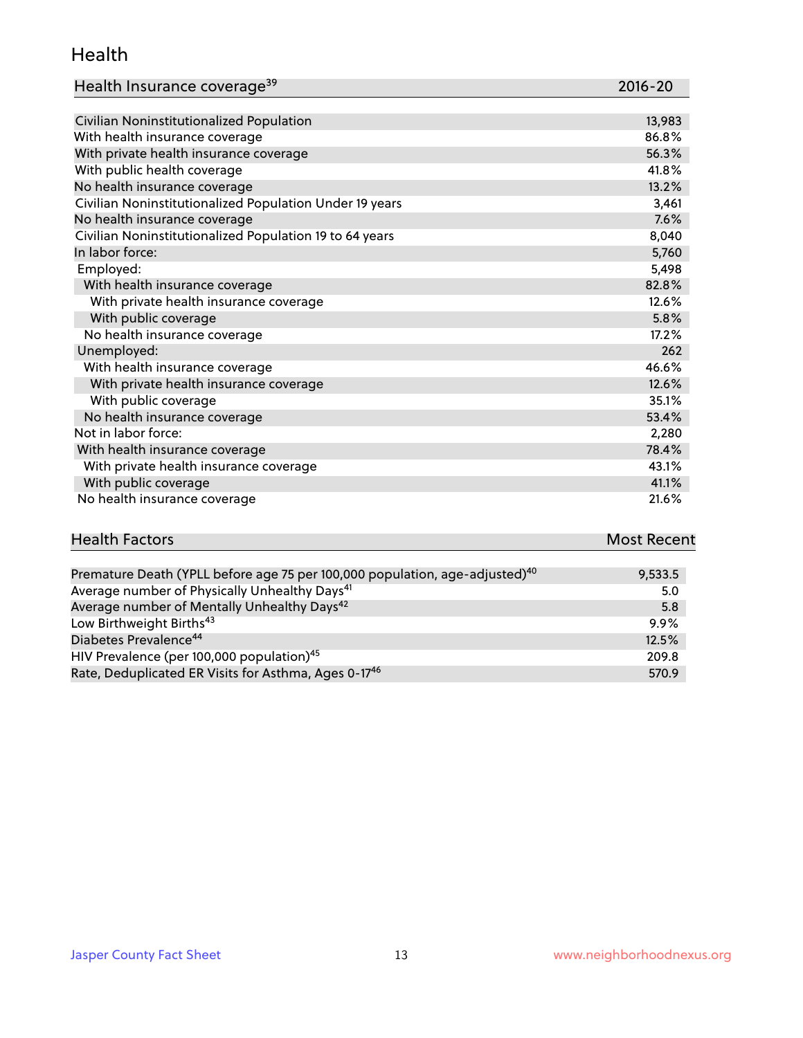#### Health

| Health Insurance coverage <sup>39</sup> | 2016-20 |
|-----------------------------------------|---------|
|-----------------------------------------|---------|

| Civilian Noninstitutionalized Population                | 13,983 |
|---------------------------------------------------------|--------|
| With health insurance coverage                          | 86.8%  |
| With private health insurance coverage                  | 56.3%  |
| With public health coverage                             | 41.8%  |
| No health insurance coverage                            | 13.2%  |
| Civilian Noninstitutionalized Population Under 19 years | 3,461  |
| No health insurance coverage                            | 7.6%   |
| Civilian Noninstitutionalized Population 19 to 64 years | 8,040  |
| In labor force:                                         | 5,760  |
| Employed:                                               | 5,498  |
| With health insurance coverage                          | 82.8%  |
| With private health insurance coverage                  | 12.6%  |
| With public coverage                                    | 5.8%   |
| No health insurance coverage                            | 17.2%  |
| Unemployed:                                             | 262    |
| With health insurance coverage                          | 46.6%  |
| With private health insurance coverage                  | 12.6%  |
| With public coverage                                    | 35.1%  |
| No health insurance coverage                            | 53.4%  |
| Not in labor force:                                     | 2,280  |
| With health insurance coverage                          | 78.4%  |
| With private health insurance coverage                  | 43.1%  |
| With public coverage                                    | 41.1%  |
| No health insurance coverage                            | 21.6%  |

| <b>Health Factors</b> | <b>Most Recent</b> |
|-----------------------|--------------------|
|                       |                    |

| Premature Death (YPLL before age 75 per 100,000 population, age-adjusted) <sup>40</sup> | 9,533.5 |
|-----------------------------------------------------------------------------------------|---------|
| Average number of Physically Unhealthy Days <sup>41</sup>                               | 5.0     |
| Average number of Mentally Unhealthy Days <sup>42</sup>                                 | 5.8     |
| Low Birthweight Births <sup>43</sup>                                                    | 9.9%    |
| Diabetes Prevalence <sup>44</sup>                                                       | 12.5%   |
| HIV Prevalence (per 100,000 population) <sup>45</sup>                                   | 209.8   |
| Rate, Deduplicated ER Visits for Asthma, Ages 0-17 <sup>46</sup>                        | 570.9   |